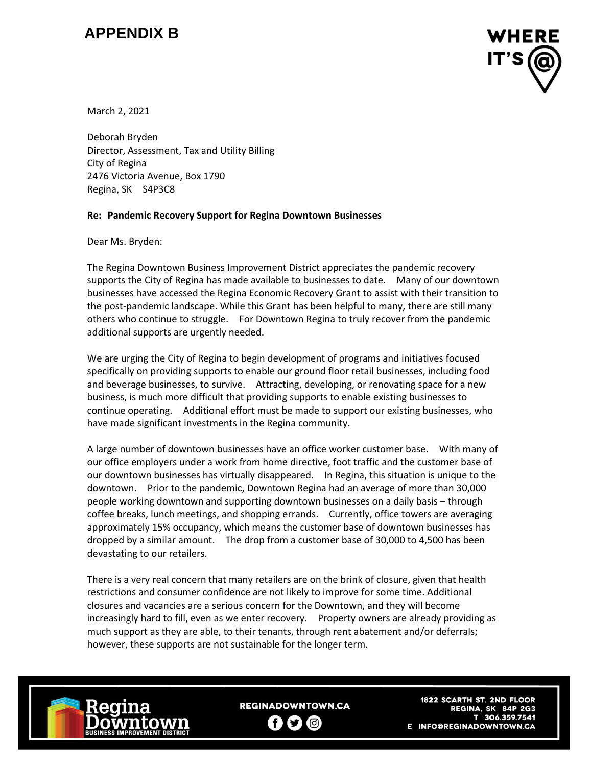## **APPENDIX B**



March 2, 2021

Deborah Bryden Director, Assessment, Tax and Utility Billing City of Regina 2476 Victoria Avenue, Box 1790 Regina, SK S4P3C8

## **Re: Pandemic Recovery Support for Regina Downtown Businesses**

Dear Ms. Bryden:

The Regina Downtown Business Improvement District appreciates the pandemic recovery supports the City of Regina has made available to businesses to date. Many of our downtown businesses have accessed the Regina Economic Recovery Grant to assist with their transition to the post-pandemic landscape. While this Grant has been helpful to many, there are still many others who continue to struggle. For Downtown Regina to truly recover from the pandemic additional supports are urgently needed.

We are urging the City of Regina to begin development of programs and initiatives focused specifically on providing supports to enable our ground floor retail businesses, including food and beverage businesses, to survive. Attracting, developing, or renovating space for a new business, is much more difficult that providing supports to enable existing businesses to continue operating. Additional effort must be made to support our existing businesses, who have made significant investments in the Regina community.

A large number of downtown businesses have an office worker customer base. With many of our office employers under a work from home directive, foot traffic and the customer base of our downtown businesses has virtually disappeared. In Regina, this situation is unique to the downtown. Prior to the pandemic, Downtown Regina had an average of more than 30,000 people working downtown and supporting downtown businesses on a daily basis – through coffee breaks, lunch meetings, and shopping errands. Currently, office towers are averaging approximately 15% occupancy, which means the customer base of downtown businesses has dropped by a similar amount. The drop from a customer base of 30,000 to 4,500 has been devastating to our retailers.

There is a very real concern that many retailers are on the brink of closure, given that health restrictions and consumer confidence are not likely to improve for some time. Additional closures and vacancies are a serious concern for the Downtown, and they will become increasingly hard to fill, even as we enter recovery. Property owners are already providing as much support as they are able, to their tenants, through rent abatement and/or deferrals; however, these supports are not sustainable for the longer term.



**REGINADOWNTOWN.CA** Ŧ (ම)  $\mathbf{C}$ 

**1822 SCARTH ST. 2ND FLOOR** REGINA, SK S4P 2G3 T 306.359.7541 E INFO@REGINADOWNTOWN.CA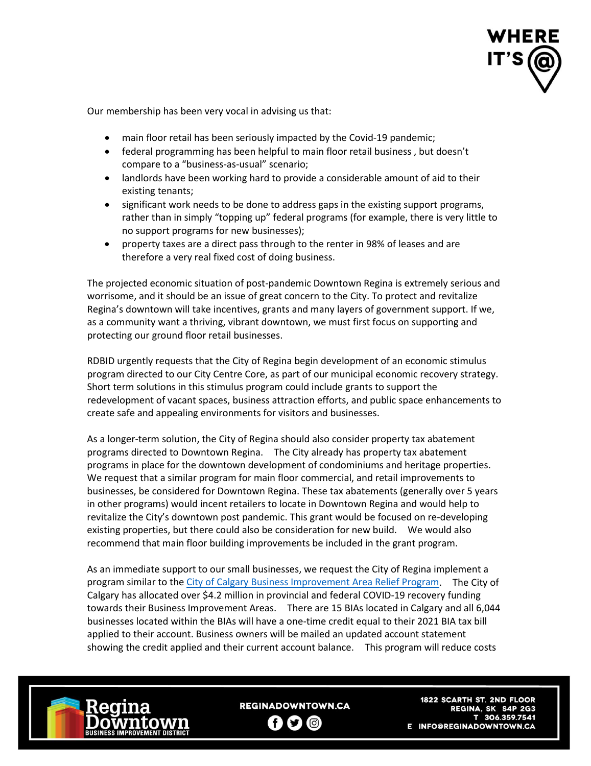

Our membership has been very vocal in advising us that:

- main floor retail has been seriously impacted by the Covid-19 pandemic;
- federal programming has been helpful to main floor retail business , but doesn't compare to a "business-as-usual" scenario;
- landlords have been working hard to provide a considerable amount of aid to their existing tenants;
- significant work needs to be done to address gaps in the existing support programs, rather than in simply "topping up" federal programs (for example, there is very little to no support programs for new businesses);
- property taxes are a direct pass through to the renter in 98% of leases and are therefore a very real fixed cost of doing business.

The projected economic situation of post-pandemic Downtown Regina is extremely serious and worrisome, and it should be an issue of great concern to the City. To protect and revitalize Regina's downtown will take incentives, grants and many layers of government support. If we, as a community want a thriving, vibrant downtown, we must first focus on supporting and protecting our ground floor retail businesses.

RDBID urgently requests that the City of Regina begin development of an economic stimulus program directed to our City Centre Core, as part of our municipal economic recovery strategy. Short term solutions in this stimulus program could include grants to support the redevelopment of vacant spaces, business attraction efforts, and public space enhancements to create safe and appealing environments for visitors and businesses.

As a longer-term solution, the City of Regina should also consider property tax abatement programs directed to Downtown Regina. The City already has property tax abatement programs in place for the downtown development of condominiums and heritage properties. We request that a similar program for main floor commercial, and retail improvements to businesses, be considered for Downtown Regina. These tax abatements (generally over 5 years in other programs) would incent retailers to locate in Downtown Regina and would help to revitalize the City's downtown post pandemic. This grant would be focused on re-developing existing properties, but there could also be consideration for new build. We would also recommend that main floor building improvements be included in the grant program.

As an immediate support to our small businesses, we request the City of Regina implement a program similar to th[e City of Calgary Business Improvement Area Relief Program.](https://newsroom.calgary.ca/the-city-of-calgary-announces-2021-business-improvement-area-relief-program/) The City of Calgary has allocated over \$4.2 million in provincial and federal COVID-19 recovery funding towards their Business Improvement Areas. There are 15 BIAs located in Calgary and all 6,044 businesses located within the BIAs will have a one-time credit equal to their 2021 BIA tax bill applied to their account. Business owners will be mailed an updated account statement showing the credit applied and their current account balance. This program will reduce costs



**REGINADOWNTOWN.CA** Ð  $\bullet$   $\circ$ 

**1822 SCARTH ST. 2ND FLOOR** REGINA, SK S4P 2G3 T 306.359.7541 E INFO@REGINADOWNTOWN.CA